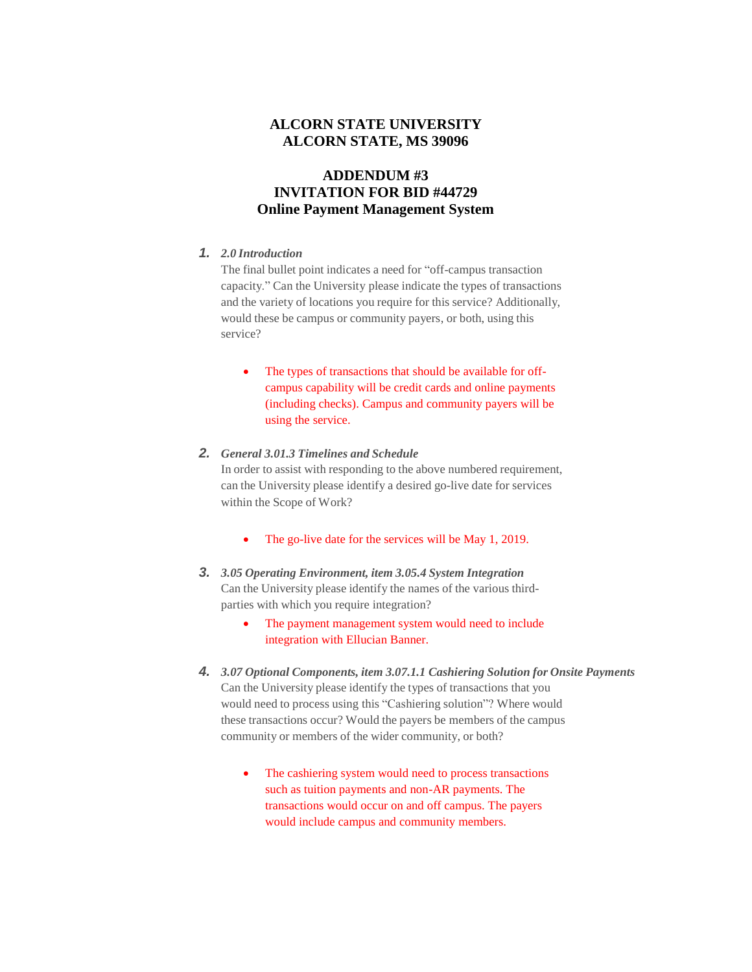## **ALCORN STATE UNIVERSITY ALCORN STATE, MS 39096**

## **ADDENDUM #3 INVITATION FOR BID #44729 Online Payment Management System**

## *1. 2.0 Introduction*

The final bullet point indicates a need for "off-campus transaction capacity." Can the University please indicate the types of transactions and the variety of locations you require for this service? Additionally, would these be campus or community payers, or both, using this service?

• The types of transactions that should be available for offcampus capability will be credit cards and online payments (including checks). Campus and community payers will be using the service.

## *2. General 3.01.3 Timelines and Schedule*

In order to assist with responding to the above numbered requirement, can the University please identify a desired go-live date for services within the Scope of Work?

- The go-live date for the services will be May 1, 2019.
- *3. 3.05 Operating Environment, item 3.05.4 System Integration* Can the University please identify the names of the various thirdparties with which you require integration?
	- The payment management system would need to include integration with Ellucian Banner.
- *4. 3.07 Optional Components, item 3.07.1.1 Cashiering Solution for Onsite Payments* Can the University please identify the types of transactions that you would need to process using this "Cashiering solution"? Where would these transactions occur? Would the payers be members of the campus community or members of the wider community, or both?
	- The cashiering system would need to process transactions such as tuition payments and non-AR payments. The transactions would occur on and off campus. The payers would include campus and community members.